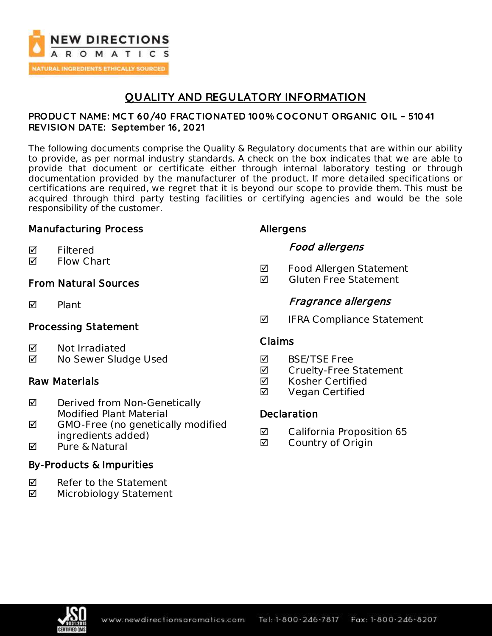

## **QUALITY AND REGULATORY INFORMATION**

### **PRODUC T NAME: MC T 60/40 FRAC TIONATED 100% C OC ONUT ORGANIC OIL – 51041 REVISION DATE: September 16, 2021**

The following documents comprise the Quality & Regulatory documents that are within our ability to provide, as per normal industry standards. A check on the box indicates that we are able to provide that document or certificate either through internal laboratory testing or through documentation provided by the manufacturer of the product. If more detailed specifications or certifications are required, we regret that it is beyond our scope to provide them. This must be acquired through third party testing facilities or certifying agencies and would be the sole responsibility of the customer.

### Manufacturing Process

- **Ø** Filtered
- **Ø** Flow Chart

## From Natural Sources

 $\nabla$  Plant

## Processing Statement

- $\boxtimes$  Not Irradiated
- No Sewer Sludge Used

## Raw Materials

- $\boxtimes$  Derived from Non-Genetically Modified Plant Material
- $\blacksquare$  GMO-Free (no genetically modified ingredients added)
- **Ø** Pure & Natural

## By-Products & Impurities

- $\nabla$  Refer to the Statement
- Microbiology Statement

## Allergens

## Food allergens

- **Ø** Food Allergen Statement
- $\blacksquare$  Gluten Free Statement

## Fragrance allergens

 $\blacksquare$  IFRA Compliance Statement

### Claims

- **M** BSF/TSF Free
- **Ø** Cruelty-Free Statement
- **Ø** Kosher Certified
- **Ø** Vegan Certified

## **Declaration**

- **Ø** California Proposition 65
- Country of Origin

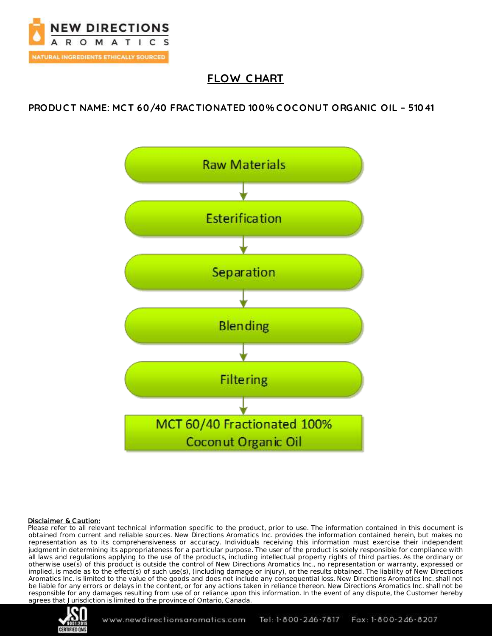

## **FLOW C HART**

**PRODUC T NAME: MC T 60/40 FRAC TIONATED 100% C OC ONUT ORGANIC OIL – 51041**



#### Disclaimer & Caution:

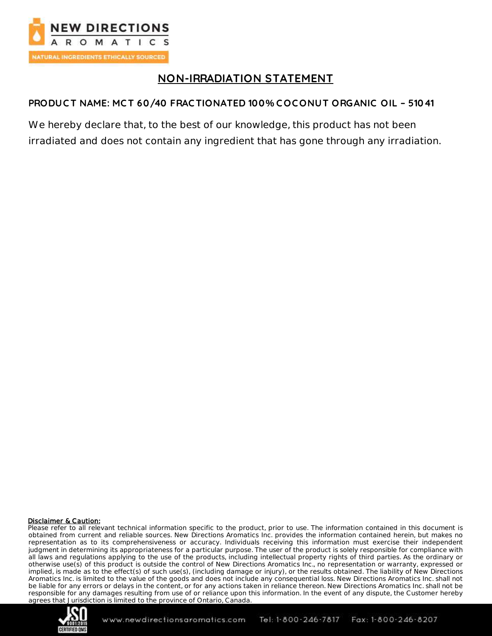

## **NON-IRRADIATION STATEMENT**

## **PRODUC T NAME: MC T 60/40 FRAC TIONATED 100% C OC ONUT ORGANIC OIL – 51041**

We hereby declare that, to the best of our knowledge, this product has not been irradiated and does not contain any ingredient that has gone through any irradiation.

#### Disclaimer & Caution:

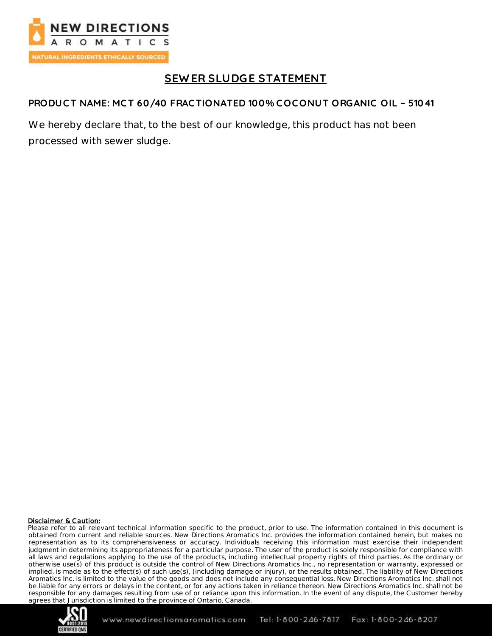

# **SEW ER SLUDGE STATEMENT**

### **PRODUC T NAME: MC T 60/40 FRAC TIONATED 100% C OC ONUT ORGANIC OIL – 51041**

We hereby declare that, to the best of our knowledge, this product has not been processed with sewer sludge.

#### Disclaimer & Caution:

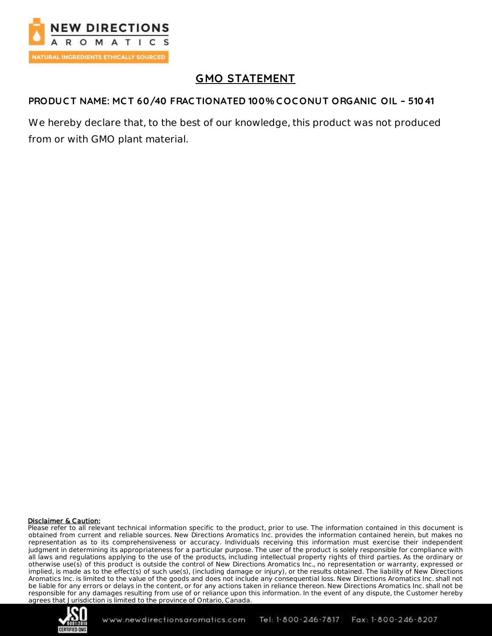

# **GMO STATEMENT**

### **PRODUC T NAME: MC T 60/40 FRAC TIONATED 100% COC ONUT ORGANIC OIL – 51041**

We hereby declare that, to the best of our knowledge, this product was not produced from or with GMO plant material.

#### **Disclaimer & Caution:**

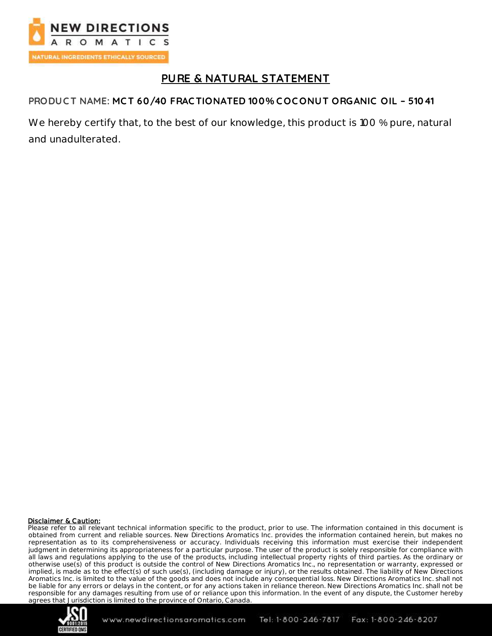

## **PURE & NATURAL STATEMENT**

## **PRODUC T NAME: MC T 60/40 FRAC TIONATED 100% C OC ONUT ORGANIC OIL – 51041**

We hereby certify that, to the best of our knowledge, this product is 100 % pure, natural and unadulterated.

#### **Disclaimer & Caution:**

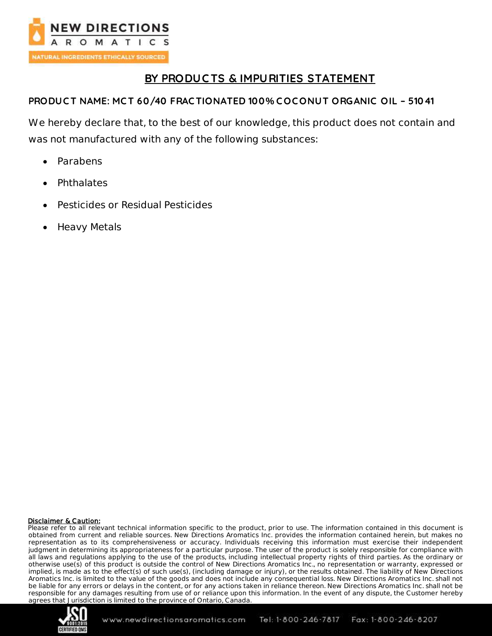

## **BY PRODUC TS & IMPURITIES STATEMENT**

### **PRODUC T NAME: MC T 60/40 FRAC TIONATED 100% C OC ONUT ORGANIC OIL – 51041**

We hereby declare that, to the best of our knowledge, this product does not contain and was not manufactured with any of the following substances:

- Parabens
- Phthalates
- Pesticides or Residual Pesticides
- Heavy Metals

#### **Disclaimer & Caution:**

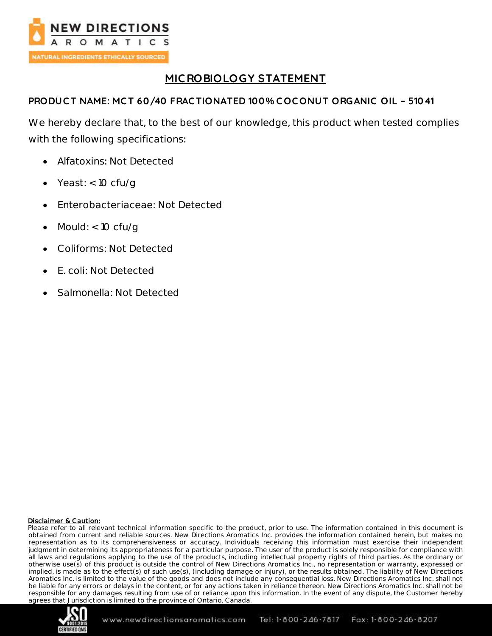

# **MIC ROBIOLOGY STATEMENT**

## **PRODUC T NAME: MC T 60/40 FRAC TIONATED 100% C OC ONUT ORGANIC OIL – 51041**

We hereby declare that, to the best of our knowledge, this product when tested complies with the following specifications:

- Alfatoxins: Not Detected
- Yeast:  $<$  10 cfu/q
- Enterobacteriaceae: Not Detected
- Mould: < 10 cfu/g
- Coliforms: Not Detected
- E. coli: Not Detected
- Salmonella: Not Detected

#### Disclaimer & Caution:

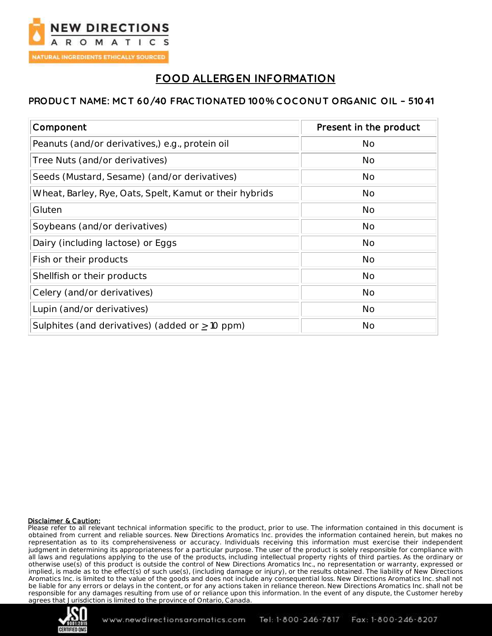

## **FOOD ALLERGEN INFORMATION**

### **PRODUC T NAME: MC T 60/40 FRAC TIONATED 100% C OC ONUT ORGANIC OIL – 51041**

| Component                                               | Present in the product |
|---------------------------------------------------------|------------------------|
| Peanuts (and/or derivatives,) e.g., protein oil         | <b>No</b>              |
| Tree Nuts (and/or derivatives)                          | No                     |
| Seeds (Mustard, Sesame) (and/or derivatives)            | No                     |
| Wheat, Barley, Rye, Oats, Spelt, Kamut or their hybrids | <b>No</b>              |
| Gluten                                                  | No                     |
| Soybeans (and/or derivatives)                           | <b>No</b>              |
| Dairy (including lactose) or Eggs                       | <b>No</b>              |
| Fish or their products                                  | <b>No</b>              |
| Shellfish or their products                             | <b>No</b>              |
| Celery (and/or derivatives)                             | <b>No</b>              |
| Lupin (and/or derivatives)                              | <b>No</b>              |
| Sulphites (and derivatives) (added or $\geq$ 10 ppm)    | <b>No</b>              |

#### Disclaimer & Caution:

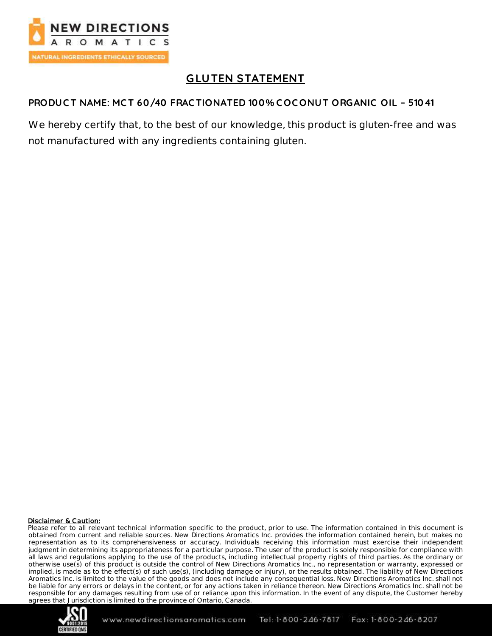

# **GLUTEN STATEMENT**

## **PRODUC T NAME: MCT 60/40 FRAC TIONATED 100% C OC ONUT ORGANIC OIL – 51041**

We hereby certify that, to the best of our knowledge, this product is gluten-free and was not manufactured with any ingredients containing gluten.

#### Disclaimer & Caution:

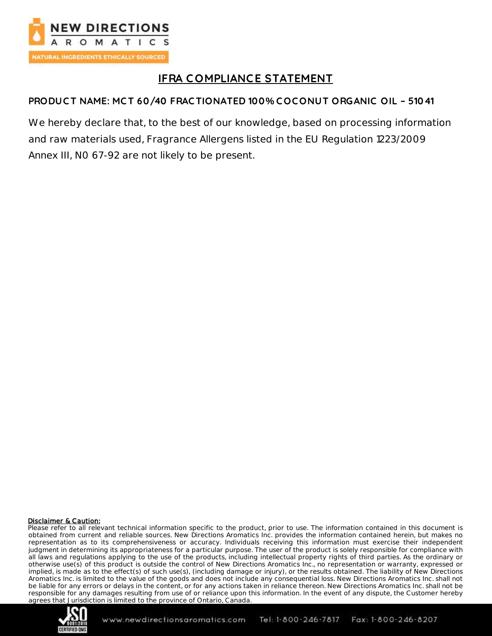

# **IFRA C OMPLIANCE STATEMENT**

## **PRODUC T NAME: MC T 60/40 FRAC TIONATED 100% C OC ONUT ORGANIC OIL – 51041**

We hereby declare that, to the best of our knowledge, based on processing information and raw materials used, Fragrance Allergens listed in the EU Regulation 1223/2009 Annex III, N0 67-92 are not likely to be present.

#### Disclaimer & Caution:

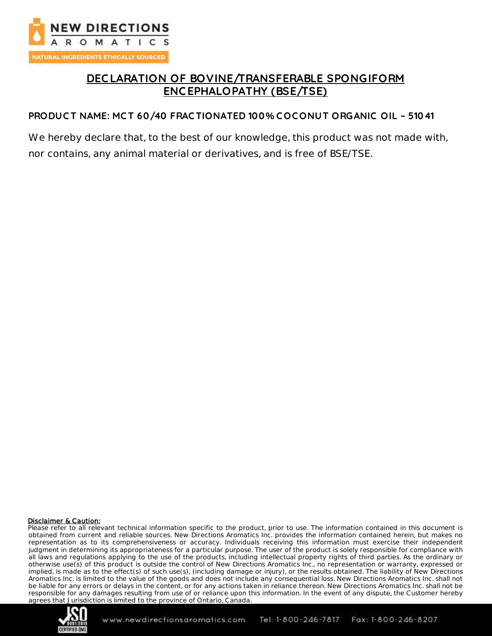

## **DEC LARATION OF BOVINE/TRANSFERABLE SPONGIFORM ENC EPHALOPATHY (BSE/TSE)**

#### **PRODUC T NAME: MC T 60/40 FRAC TIONATED 100% C OC ONUT ORGANIC OIL – 51041**

We hereby declare that, to the best of our knowledge, this product was not made with, nor contains, any animal material or derivatives, and is free of BSE/TSE.

#### Disclaimer & Caution:

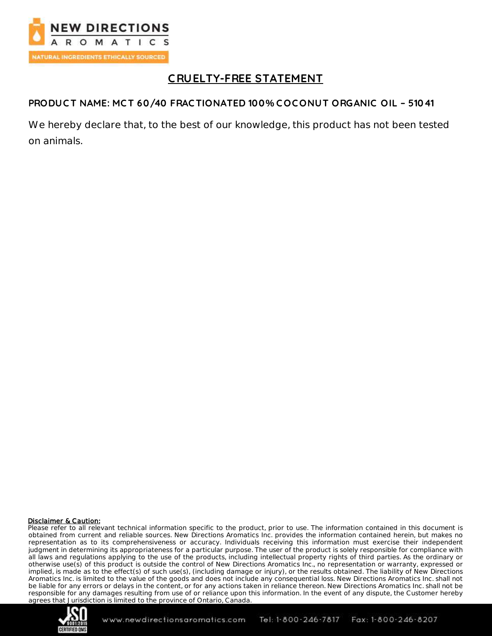

# **C RUELTY-FREE STATEMENT**

### **PRODUC T NAME: MC T 60/40 FRAC TIONATED 100% C OC ONUT ORGANIC OIL – 51041**

We hereby declare that, to the best of our knowledge, this product has not been tested on animals.

#### Disclaimer & Caution:

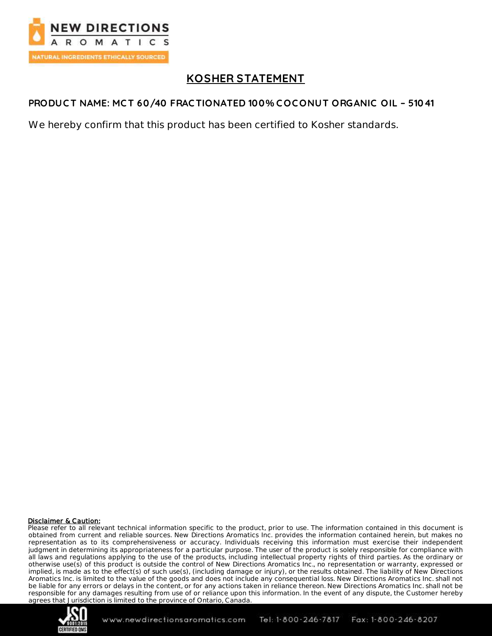

## **KOSHER STATEMENT**

### **PRODUC T NAME: MC T 60/40 FRAC TIONATED 100% C OC ONUT ORGANIC OIL – 51041**

We hereby confirm that this product has been certified to Kosher standards.

#### Disclaimer & Caution:

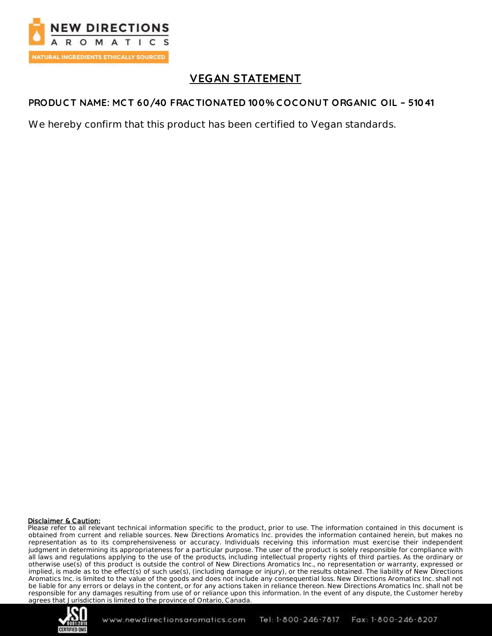

## **VEGAN STATEMENT**

### **PRODUC T NAME: MC T 60/40 FRAC TIONATED 100% C OC ONUT ORGANIC OIL – 51041**

We hereby confirm that this product has been certified to Vegan standards.

#### Disclaimer & Caution:

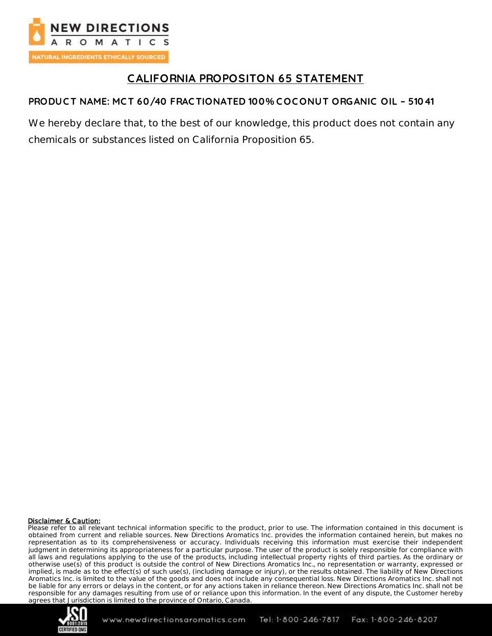

# **CALIFORNIA PROPOSITON 65 STATEMENT**

## **PRODUC T NAME: MC T 60/40 FRAC TIONATED 100% C OCONUT ORGANIC OIL – 51041**

We hereby declare that, to the best of our knowledge, this product does not contain any chemicals or substances listed on California Proposition 65.

#### Disclaimer & Caution: